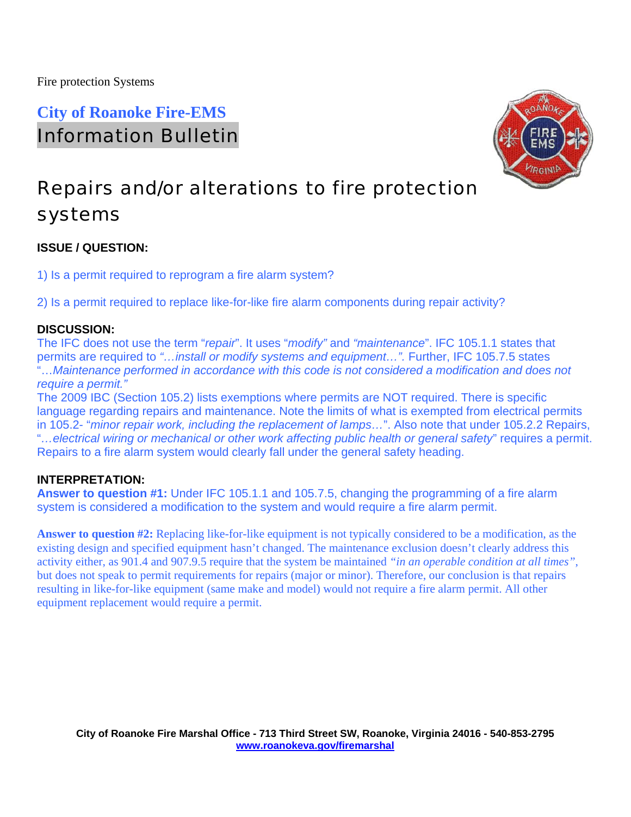## **City of Roanoke Fire-EMS**  Information Bulletin



# Repairs and/or alterations to fire protection systems

## **ISSUE / QUESTION:**

1) Is a permit required to reprogram a fire alarm system?

2) Is a permit required to replace like-for-like fire alarm components during repair activity?

## **DISCUSSION:**

The IFC does not use the term "*repair*". It uses "*modify"* and *"maintenance*". IFC 105.1.1 states that permits are required to *"…install or modify systems and equipment…".* Further, IFC 105.7.5 states "…*Maintenance performed in accordance with this code is not considered a modification and does not require a permit."* 

The 2009 IBC (Section 105.2) lists exemptions where permits are NOT required. There is specific language regarding repairs and maintenance. Note the limits of what is exempted from electrical permits in 105.2- "*minor repair work, including the replacement of lamps…*". Also note that under 105.2.2 Repairs, "*…electrical wiring or mechanical or other work affecting public health or general safety*" requires a permit. Repairs to a fire alarm system would clearly fall under the general safety heading.

## **INTERPRETATION:**

**Answer to question #1:** Under IFC 105.1.1 and 105.7.5, changing the programming of a fire alarm system is considered a modification to the system and would require a fire alarm permit.

**Answer to question #2:** Replacing like-for-like equipment is not typically considered to be a modification, as the existing design and specified equipment hasn't changed. The maintenance exclusion doesn't clearly address this activity either, as 901.4 and 907.9.5 require that the system be maintained *"in an operable condition at all times"*, but does not speak to permit requirements for repairs (major or minor). Therefore, our conclusion is that repairs resulting in like-for-like equipment (same make and model) would not require a fire alarm permit. All other equipment replacement would require a permit.